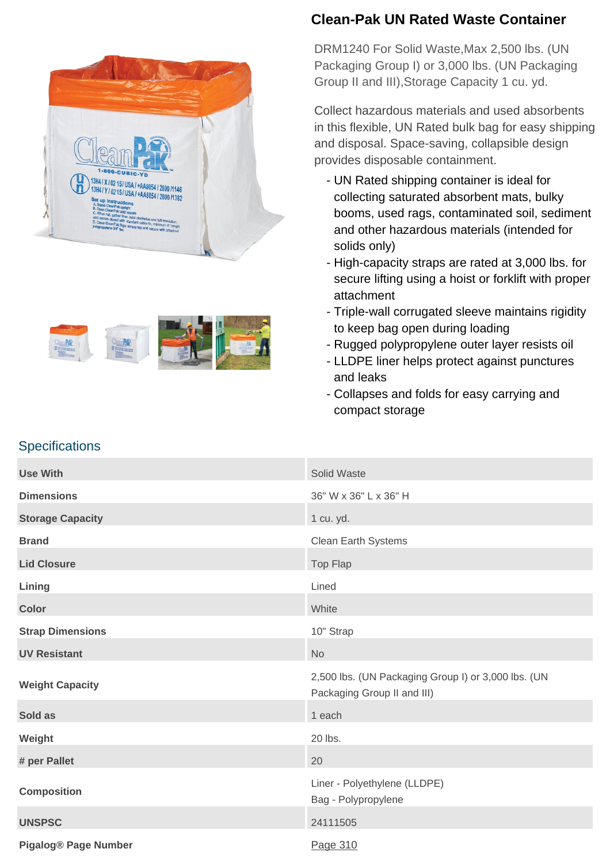



## **Clean-Pak UN Rated Waste Container**

DRM1240 For Solid Waste,Max 2,500 lbs. (UN Packaging Group I) or 3,000 lbs. (UN Packaging Group II and III),Storage Capacity 1 cu. yd.

Collect hazardous materials and used absorbents in this flexible, UN Rated bulk bag for easy shipping and disposal. Space-saving, collapsible design provides disposable containment.

- UN Rated shipping container is ideal for collecting saturated absorbent mats, bulky booms, used rags, contaminated soil, sediment and other hazardous materials (intended for solids only)
- High-capacity straps are rated at 3,000 lbs. for secure lifting using a hoist or forklift with proper attachment
- Triple-wall corrugated sleeve maintains rigidity to keep bag open during loading
- Rugged polypropylene outer layer resists oil
- LLDPE liner helps protect against punctures and leaks
- Collapses and folds for easy carrying and compact storage

## **Specifications**

| <b>Use With</b>             | Solid Waste                                                                        |
|-----------------------------|------------------------------------------------------------------------------------|
| <b>Dimensions</b>           | 36" W x 36" L x 36" H                                                              |
| <b>Storage Capacity</b>     | 1 cu. yd.                                                                          |
| <b>Brand</b>                | Clean Earth Systems                                                                |
| <b>Lid Closure</b>          | Top Flap                                                                           |
| Lining                      | Lined                                                                              |
| <b>Color</b>                | White                                                                              |
| <b>Strap Dimensions</b>     | 10" Strap                                                                          |
| <b>UV Resistant</b>         | <b>No</b>                                                                          |
| <b>Weight Capacity</b>      | 2,500 lbs. (UN Packaging Group I) or 3,000 lbs. (UN<br>Packaging Group II and III) |
| Sold as                     | 1 each                                                                             |
| Weight                      | 20 lbs.                                                                            |
| # per Pallet                | 20                                                                                 |
| <b>Composition</b>          | Liner - Polyethylene (LLDPE)<br>Bag - Polypropylene                                |
| <b>UNSPSC</b>               | 24111505                                                                           |
| <b>Pigalog® Page Number</b> | Page 310                                                                           |